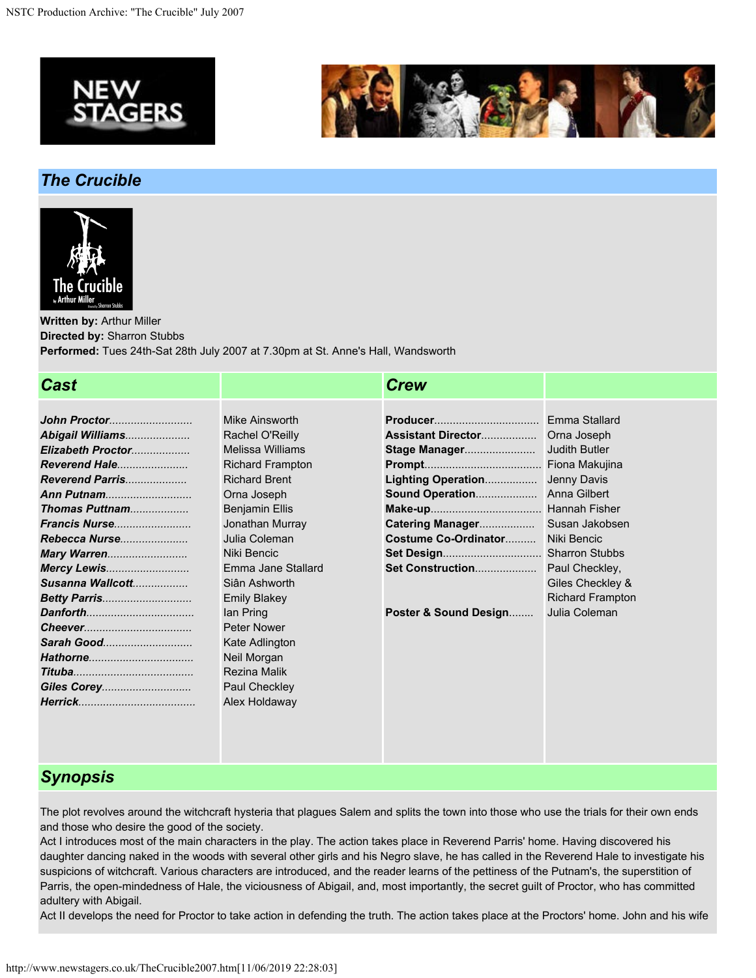



# *The Crucible*



**Written by:** Arthur Miller **Directed by:** Sharron Stubbs **Performed:** Tues 24th-Sat 28th July 2007 at 7.30pm at St. Anne's Hall, Wandsworth

## *Cast Crew*

| John Proctor         |
|----------------------|
| Abigail Williams     |
| Elizabeth Proctor    |
| <b>Reverend Hale</b> |
| Reverend Parris      |
| Ann Putnam           |
| Thomas Puttnam       |
| Francis Nurse        |
| Rebecca Nurse        |
| Mary Warren          |
| Mercy Lewis          |
| Susanna Wallcott     |
| <b>Betty Parris</b>  |
|                      |
|                      |
| Sarah Good           |
|                      |
|                      |
|                      |
|                      |
|                      |

Mike Ainsworth Rachel O'Reilly Melissa Williams Richard Frampton Richard Brent Orna Joseph Benjamin Ellis Jonathan Murray Julia Coleman Niki Bencic Emma Jane Stallard Siân Ashworth Emily Blakey Ian Pring Peter Nower Kate Adlington Neil Morgan Rezina Malik Paul Checkley Alex Holdaway

|                           | <b>Fmma Stallard</b>    |
|---------------------------|-------------------------|
| <b>Assistant Director</b> | Orna Joseph             |
| Stage Manager             | Judith Butler           |
|                           | Fiona Makujina          |
| Lighting Operation        | <b>Jenny Davis</b>      |
| Sound Operation           | Anna Gilbert            |
|                           | Hannah Fisher           |
| Catering Manager          | Susan Jakobsen          |
| Costume Co-Ordinator      | Niki Bencic             |
|                           | Sharron Stubbs          |
| Set Construction          | Paul Checkley,          |
|                           | Giles Checkley &        |
|                           | <b>Richard Frampton</b> |
| Poster & Sound Design     | Julia Coleman           |

## *Synopsis*

The plot revolves around the witchcraft hysteria that plagues Salem and splits the town into those who use the trials for their own ends and those who desire the good of the society.

Act I introduces most of the main characters in the play. The action takes place in Reverend Parris' home. Having discovered his daughter dancing naked in the woods with several other girls and his Negro slave, he has called in the Reverend Hale to investigate his suspicions of witchcraft. Various characters are introduced, and the reader learns of the pettiness of the Putnam's, the superstition of Parris, the open-mindedness of Hale, the viciousness of Abigail, and, most importantly, the secret guilt of Proctor, who has committed adultery with Abigail.

Act II develops the need for Proctor to take action in defending the truth. The action takes place at the Proctors' home. John and his wife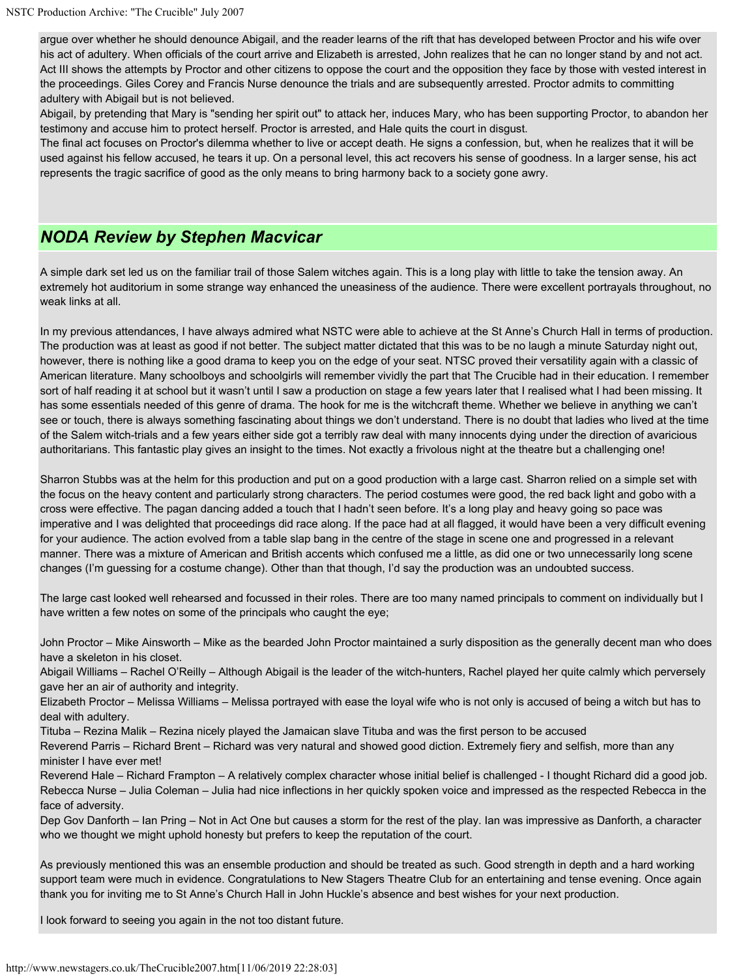argue over whether he should denounce Abigail, and the reader learns of the rift that has developed between Proctor and his wife over his act of adultery. When officials of the court arrive and Elizabeth is arrested, John realizes that he can no longer stand by and not act. Act III shows the attempts by Proctor and other citizens to oppose the court and the opposition they face by those with vested interest in the proceedings. Giles Corey and Francis Nurse denounce the trials and are subsequently arrested. Proctor admits to committing adultery with Abigail but is not believed.

Abigail, by pretending that Mary is "sending her spirit out" to attack her, induces Mary, who has been supporting Proctor, to abandon her testimony and accuse him to protect herself. Proctor is arrested, and Hale quits the court in disgust.

The final act focuses on Proctor's dilemma whether to live or accept death. He signs a confession, but, when he realizes that it will be used against his fellow accused, he tears it up. On a personal level, this act recovers his sense of goodness. In a larger sense, his act represents the tragic sacrifice of good as the only means to bring harmony back to a society gone awry.

### *NODA Review by Stephen Macvicar*

A simple dark set led us on the familiar trail of those Salem witches again. This is a long play with little to take the tension away. An extremely hot auditorium in some strange way enhanced the uneasiness of the audience. There were excellent portrayals throughout, no weak links at all.

In my previous attendances, I have always admired what NSTC were able to achieve at the St Anne's Church Hall in terms of production. The production was at least as good if not better. The subject matter dictated that this was to be no laugh a minute Saturday night out, however, there is nothing like a good drama to keep you on the edge of your seat. NTSC proved their versatility again with a classic of American literature. Many schoolboys and schoolgirls will remember vividly the part that The Crucible had in their education. I remember sort of half reading it at school but it wasn't until I saw a production on stage a few years later that I realised what I had been missing. It has some essentials needed of this genre of drama. The hook for me is the witchcraft theme. Whether we believe in anything we can't see or touch, there is always something fascinating about things we don't understand. There is no doubt that ladies who lived at the time of the Salem witch-trials and a few years either side got a terribly raw deal with many innocents dying under the direction of avaricious authoritarians. This fantastic play gives an insight to the times. Not exactly a frivolous night at the theatre but a challenging one!

Sharron Stubbs was at the helm for this production and put on a good production with a large cast. Sharron relied on a simple set with the focus on the heavy content and particularly strong characters. The period costumes were good, the red back light and gobo with a cross were effective. The pagan dancing added a touch that I hadn't seen before. It's a long play and heavy going so pace was imperative and I was delighted that proceedings did race along. If the pace had at all flagged, it would have been a very difficult evening for your audience. The action evolved from a table slap bang in the centre of the stage in scene one and progressed in a relevant manner. There was a mixture of American and British accents which confused me a little, as did one or two unnecessarily long scene changes (I'm guessing for a costume change). Other than that though, I'd say the production was an undoubted success.

The large cast looked well rehearsed and focussed in their roles. There are too many named principals to comment on individually but I have written a few notes on some of the principals who caught the eye;

John Proctor – Mike Ainsworth – Mike as the bearded John Proctor maintained a surly disposition as the generally decent man who does have a skeleton in his closet.

Abigail Williams – Rachel O'Reilly – Although Abigail is the leader of the witch-hunters, Rachel played her quite calmly which perversely gave her an air of authority and integrity.

Elizabeth Proctor – Melissa Williams – Melissa portrayed with ease the loyal wife who is not only is accused of being a witch but has to deal with adultery.

Tituba – Rezina Malik – Rezina nicely played the Jamaican slave Tituba and was the first person to be accused

Reverend Parris – Richard Brent – Richard was very natural and showed good diction. Extremely fiery and selfish, more than any minister I have ever met!

Reverend Hale – Richard Frampton – A relatively complex character whose initial belief is challenged - I thought Richard did a good job. Rebecca Nurse – Julia Coleman – Julia had nice inflections in her quickly spoken voice and impressed as the respected Rebecca in the face of adversity.

Dep Gov Danforth – Ian Pring – Not in Act One but causes a storm for the rest of the play. Ian was impressive as Danforth, a character who we thought we might uphold honesty but prefers to keep the reputation of the court.

As previously mentioned this was an ensemble production and should be treated as such. Good strength in depth and a hard working support team were much in evidence. Congratulations to New Stagers Theatre Club for an entertaining and tense evening. Once again thank you for inviting me to St Anne's Church Hall in John Huckle's absence and best wishes for your next production.

I look forward to seeing you again in the not too distant future.